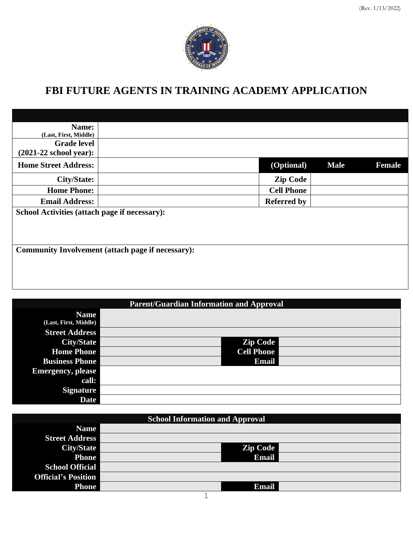

# **FBI FUTURE AGENTS IN TRAINING ACADEMY APPLICATION**

| <b>Female</b>                                            |  |  |  |  |  |
|----------------------------------------------------------|--|--|--|--|--|
|                                                          |  |  |  |  |  |
|                                                          |  |  |  |  |  |
|                                                          |  |  |  |  |  |
|                                                          |  |  |  |  |  |
|                                                          |  |  |  |  |  |
|                                                          |  |  |  |  |  |
|                                                          |  |  |  |  |  |
| <b>Community Involvement (attach page if necessary):</b> |  |  |  |  |  |
|                                                          |  |  |  |  |  |
|                                                          |  |  |  |  |  |
|                                                          |  |  |  |  |  |
|                                                          |  |  |  |  |  |

| <b>Parent/Guardian Information and Approval</b> |  |                   |  |  |
|-------------------------------------------------|--|-------------------|--|--|
| <b>Name</b>                                     |  |                   |  |  |
| (Last, First, Middle)                           |  |                   |  |  |
| <b>Street Address</b>                           |  |                   |  |  |
| <b>City/State</b>                               |  | <b>Zip Code</b>   |  |  |
| <b>Home Phone</b>                               |  | <b>Cell Phone</b> |  |  |
| <b>Business Phone</b>                           |  | <b>Email</b>      |  |  |
| <b>Emergency</b> , please                       |  |                   |  |  |
| call:                                           |  |                   |  |  |
| <b>Signature</b>                                |  |                   |  |  |
| <b>Date</b>                                     |  |                   |  |  |

| <b>School Information and Approval</b> |  |                 |  |  |
|----------------------------------------|--|-----------------|--|--|
| <b>Name</b>                            |  |                 |  |  |
| <b>Street Address</b>                  |  |                 |  |  |
| City/State                             |  | <b>Zip Code</b> |  |  |
| <b>Phone</b>                           |  | Email           |  |  |
| <b>School Official</b>                 |  |                 |  |  |
| <b>Official's Position</b>             |  |                 |  |  |
| <b>Phone</b>                           |  | <b>Email</b>    |  |  |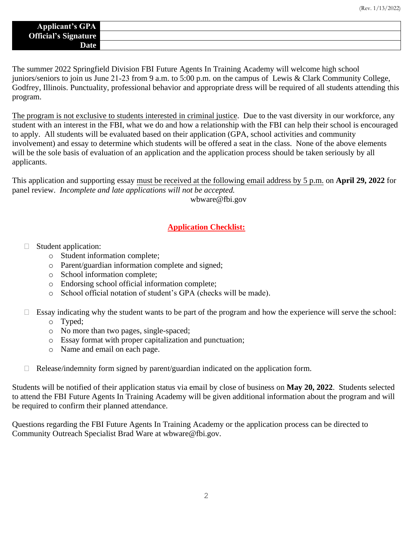| <b>Applicant's GPA</b>      |  |
|-----------------------------|--|
| <b>Official's Signature</b> |  |
| <b>Date</b>                 |  |

The summer 2022 Springfield Division FBI Future Agents In Training Academy will welcome high school juniors/seniors to join us June 21-23 from 9 a.m. to 5:00 p.m. on the campus of Lewis & Clark Community College, Godfrey, Illinois. Punctuality, professional behavior and appropriate dress will be required of all students attending this program.

The program is not exclusive to students interested in criminal justice. Due to the vast diversity in our workforce, any student with an interest in the FBI, what we do and how a relationship with the FBI can help their school is encouraged to apply. All students will be evaluated based on their application (GPA, school activities and community involvement) and essay to determine which students will be offered a seat in the class. None of the above elements will be the sole basis of evaluation of an application and the application process should be taken seriously by all applicants.

This application and supporting essay must be received at the following email address by 5 p.m. on **April 29, 2022** for panel review. *Incomplete and late applications will not be accepted.*

wbware@fbi.gov

#### **Application Checklist:**

- Student application:
	- o Student information complete;
	- o Parent/guardian information complete and signed;
	- o School information complete;
	- o Endorsing school official information complete;
	- o School official notation of student's GPA (checks will be made).
- $\Box$  Essay indicating why the student wants to be part of the program and how the experience will serve the school:
	- o Typed;
	- o No more than two pages, single-spaced;
	- o Essay format with proper capitalization and punctuation;
	- o Name and email on each page.
	- $\Box$  Release/indemnity form signed by parent/guardian indicated on the application form.

Students will be notified of their application status via email by close of business on **May 20, 2022**. Students selected to attend the FBI Future Agents In Training Academy will be given additional information about the program and will be required to confirm their planned attendance.

Questions regarding the FBI Future Agents In Training Academy or the application process can be directed to Community Outreach Specialist Brad Ware at wbware@fbi.gov.